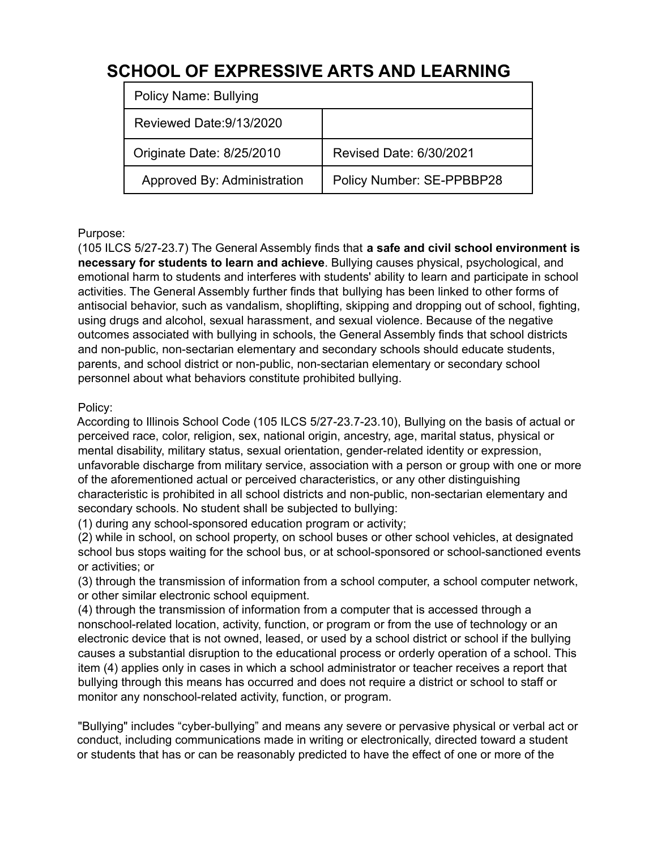# **SCHOOL OF EXPRESSIVE ARTS AND LEARNING**

| <b>Policy Name: Bullying</b> |                           |
|------------------------------|---------------------------|
| Reviewed Date: 9/13/2020     |                           |
| Originate Date: 8/25/2010    | Revised Date: 6/30/2021   |
| Approved By: Administration  | Policy Number: SE-PPBBP28 |

# Purpose:

(105 ILCS 5/27-23.7) The General Assembly finds that **a safe and civil school environment is necessary for students to learn and achieve**. Bullying causes physical, psychological, and emotional harm to students and interferes with students' ability to learn and participate in school activities. The General Assembly further finds that bullying has been linked to other forms of antisocial behavior, such as vandalism, shoplifting, skipping and dropping out of school, fighting, using drugs and alcohol, sexual harassment, and sexual violence. Because of the negative outcomes associated with bullying in schools, the General Assembly finds that school districts and non-public, non-sectarian elementary and secondary schools should educate students, parents, and school district or non-public, non-sectarian elementary or secondary school personnel about what behaviors constitute prohibited bullying.

#### Policy:

According to Illinois School Code (105 ILCS 5/27-23.7-23.10), Bullying on the basis of actual or perceived race, color, religion, sex, national origin, ancestry, age, marital status, physical or mental disability, military status, sexual orientation, gender-related identity or expression, unfavorable discharge from military service, association with a person or group with one or more of the aforementioned actual or perceived characteristics, or any other distinguishing characteristic is prohibited in all school districts and non-public, non-sectarian elementary and secondary schools. No student shall be subjected to bullying:

(1) during any school-sponsored education program or activity;

(2) while in school, on school property, on school buses or other school vehicles, at designated school bus stops waiting for the school bus, or at school-sponsored or school-sanctioned events or activities; or

(3) through the transmission of information from a school computer, a school computer network, or other similar electronic school equipment.

(4) through the transmission of information from a computer that is accessed through a nonschool-related location, activity, function, or program or from the use of technology or an electronic device that is not owned, leased, or used by a school district or school if the bullying causes a substantial disruption to the educational process or orderly operation of a school. This item (4) applies only in cases in which a school administrator or teacher receives a report that bullying through this means has occurred and does not require a district or school to staff or monitor any nonschool-related activity, function, or program.

"Bullying" includes "cyber-bullying" and means any severe or pervasive physical or verbal act or conduct, including communications made in writing or electronically, directed toward a student or students that has or can be reasonably predicted to have the effect of one or more of the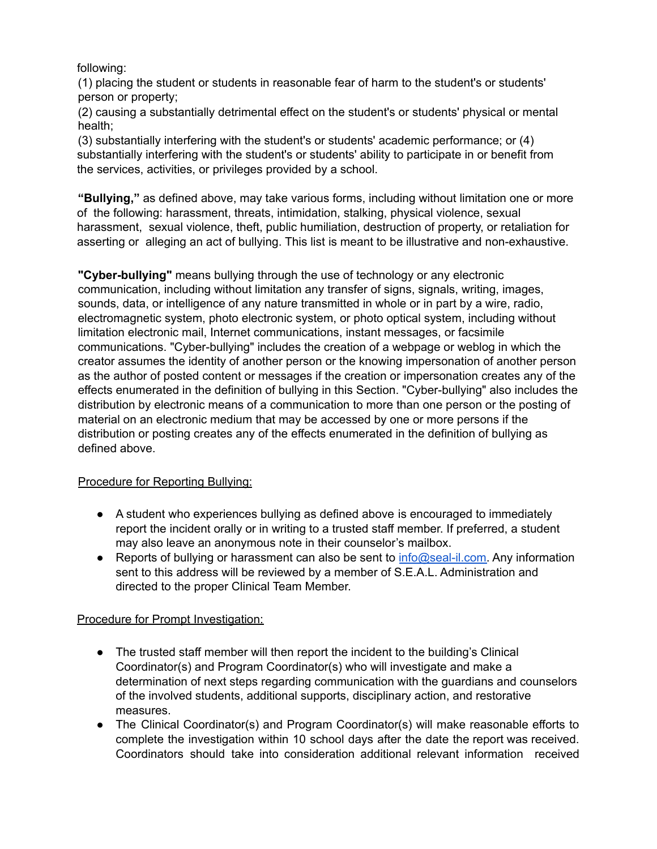following:

(1) placing the student or students in reasonable fear of harm to the student's or students' person or property;

(2) causing a substantially detrimental effect on the student's or students' physical or mental health;

(3) substantially interfering with the student's or students' academic performance; or (4) substantially interfering with the student's or students' ability to participate in or benefit from the services, activities, or privileges provided by a school.

**"Bullying,"** as defined above, may take various forms, including without limitation one or more of the following: harassment, threats, intimidation, stalking, physical violence, sexual harassment, sexual violence, theft, public humiliation, destruction of property, or retaliation for asserting or alleging an act of bullying. This list is meant to be illustrative and non-exhaustive.

**"Cyber-bullying"** means bullying through the use of technology or any electronic communication, including without limitation any transfer of signs, signals, writing, images, sounds, data, or intelligence of any nature transmitted in whole or in part by a wire, radio, electromagnetic system, photo electronic system, or photo optical system, including without limitation electronic mail, Internet communications, instant messages, or facsimile communications. "Cyber-bullying" includes the creation of a webpage or weblog in which the creator assumes the identity of another person or the knowing impersonation of another person as the author of posted content or messages if the creation or impersonation creates any of the effects enumerated in the definition of bullying in this Section. "Cyber-bullying" also includes the distribution by electronic means of a communication to more than one person or the posting of material on an electronic medium that may be accessed by one or more persons if the distribution or posting creates any of the effects enumerated in the definition of bullying as defined above.

# Procedure for Reporting Bullying:

- A student who experiences bullying as defined above is encouraged to immediately report the incident orally or in writing to a trusted staff member. If preferred, a student may also leave an anonymous note in their counselor's mailbox.
- Reports of bullying or harassment can also be sent to [info@seal-il.com.](mailto:info@seal-il.com) Any information sent to this address will be reviewed by a member of S.E.A.L. Administration and directed to the proper Clinical Team Member.

# Procedure for Prompt Investigation:

- The trusted staff member will then report the incident to the building's Clinical Coordinator(s) and Program Coordinator(s) who will investigate and make a determination of next steps regarding communication with the guardians and counselors of the involved students, additional supports, disciplinary action, and restorative measures.
- The Clinical Coordinator(s) and Program Coordinator(s) will make reasonable efforts to complete the investigation within 10 school days after the date the report was received. Coordinators should take into consideration additional relevant information received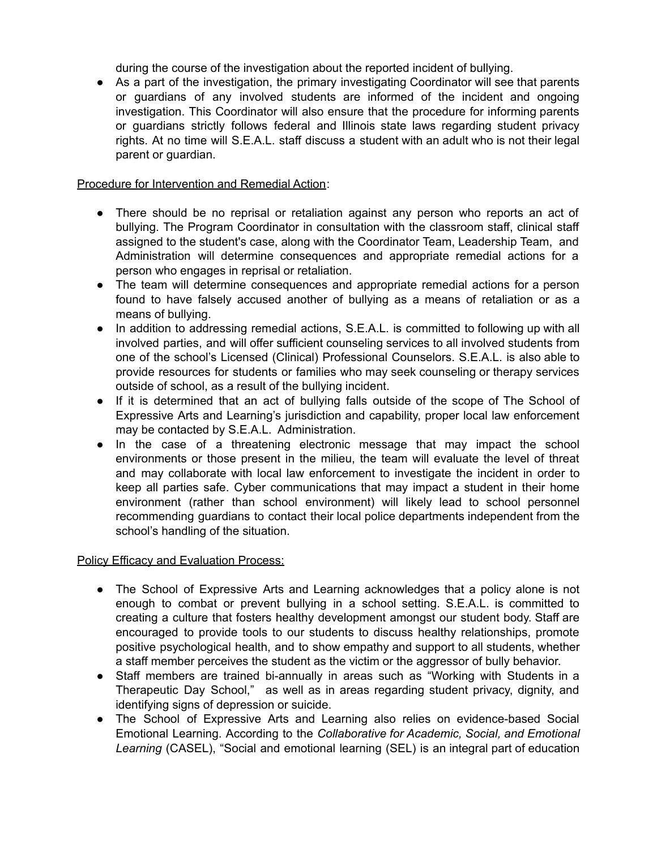during the course of the investigation about the reported incident of bullying.

● As a part of the investigation, the primary investigating Coordinator will see that parents or guardians of any involved students are informed of the incident and ongoing investigation. This Coordinator will also ensure that the procedure for informing parents or guardians strictly follows federal and Illinois state laws regarding student privacy rights. At no time will S.E.A.L. staff discuss a student with an adult who is not their legal parent or guardian.

#### Procedure for Intervention and Remedial Action:

- There should be no reprisal or retaliation against any person who reports an act of bullying. The Program Coordinator in consultation with the classroom staff, clinical staff assigned to the student's case, along with the Coordinator Team, Leadership Team, and Administration will determine consequences and appropriate remedial actions for a person who engages in reprisal or retaliation.
- The team will determine consequences and appropriate remedial actions for a person found to have falsely accused another of bullying as a means of retaliation or as a means of bullying.
- In addition to addressing remedial actions, S.E.A.L. is committed to following up with all involved parties, and will offer sufficient counseling services to all involved students from one of the school's Licensed (Clinical) Professional Counselors. S.E.A.L. is also able to provide resources for students or families who may seek counseling or therapy services outside of school, as a result of the bullying incident.
- If it is determined that an act of bullying falls outside of the scope of The School of Expressive Arts and Learning's jurisdiction and capability, proper local law enforcement may be contacted by S.E.A.L. Administration.
- In the case of a threatening electronic message that may impact the school environments or those present in the milieu, the team will evaluate the level of threat and may collaborate with local law enforcement to investigate the incident in order to keep all parties safe. Cyber communications that may impact a student in their home environment (rather than school environment) will likely lead to school personnel recommending guardians to contact their local police departments independent from the school's handling of the situation.

#### **Policy Efficacy and Evaluation Process:**

- The School of Expressive Arts and Learning acknowledges that a policy alone is not enough to combat or prevent bullying in a school setting. S.E.A.L. is committed to creating a culture that fosters healthy development amongst our student body. Staff are encouraged to provide tools to our students to discuss healthy relationships, promote positive psychological health, and to show empathy and support to all students, whether a staff member perceives the student as the victim or the aggressor of bully behavior.
- Staff members are trained bi-annually in areas such as "Working with Students in a Therapeutic Day School," as well as in areas regarding student privacy, dignity, and identifying signs of depression or suicide.
- The School of Expressive Arts and Learning also relies on evidence-based Social Emotional Learning. According to the *Collaborative for Academic, Social, and Emotional Learning* (CASEL), "Social and emotional learning (SEL) is an integral part of education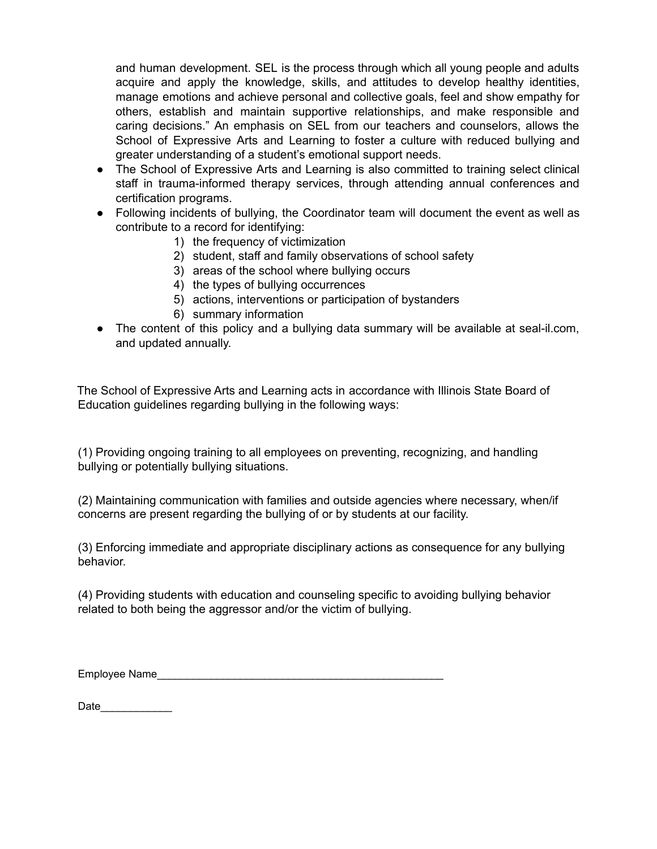and human development. SEL is the process through which all young people and adults acquire and apply the knowledge, skills, and attitudes to develop healthy identities, manage emotions and achieve personal and collective goals, feel and show empathy for others, establish and maintain supportive relationships, and make responsible and caring decisions." An emphasis on SEL from our teachers and counselors, allows the School of Expressive Arts and Learning to foster a culture with reduced bullying and greater understanding of a student's emotional support needs.

- The School of Expressive Arts and Learning is also committed to training select clinical staff in trauma-informed therapy services, through attending annual conferences and certification programs.
- Following incidents of bullying, the Coordinator team will document the event as well as contribute to a record for identifying:
	- 1) the frequency of victimization
	- 2) student, staff and family observations of school safety
	- 3) areas of the school where bullying occurs
	- 4) the types of bullying occurrences
	- 5) actions, interventions or participation of bystanders
	- 6) summary information
- The content of this policy and a bullying data summary will be available at seal-il.com, and updated annually.

The School of Expressive Arts and Learning acts in accordance with Illinois State Board of Education guidelines regarding bullying in the following ways:

(1) Providing ongoing training to all employees on preventing, recognizing, and handling bullying or potentially bullying situations.

(2) Maintaining communication with families and outside agencies where necessary, when/if concerns are present regarding the bullying of or by students at our facility.

(3) Enforcing immediate and appropriate disciplinary actions as consequence for any bullying behavior.

(4) Providing students with education and counseling specific to avoiding bullying behavior related to both being the aggressor and/or the victim of bullying.

Employee Name\_\_\_\_\_\_\_\_\_\_\_\_\_\_\_\_\_\_\_\_\_\_\_\_\_\_\_\_\_\_\_\_\_\_\_\_\_\_\_\_\_\_\_\_\_\_\_\_

Date\_\_\_\_\_\_\_\_\_\_\_\_